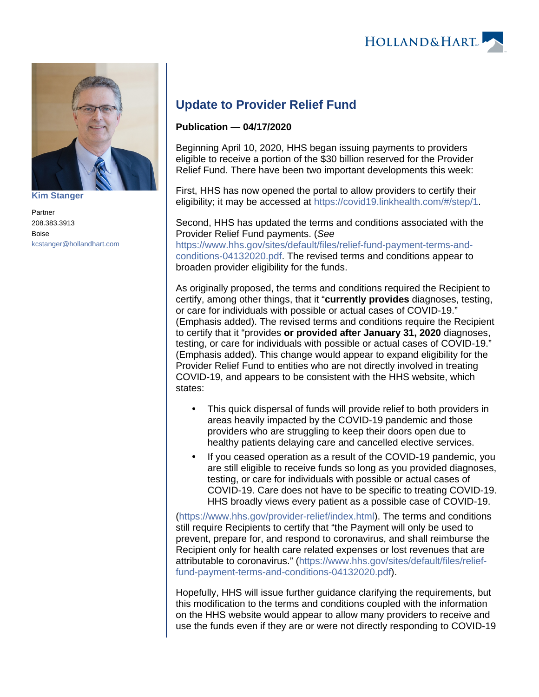



**[Kim Stanger](https://www.hollandhart.com/15954)**

Partner 208.383.3913 Boise [kcstanger@hollandhart.com](mailto:kcstanger@hollandhart.com)

## **Update to Provider Relief Fund**

## **Publication — 04/17/2020**

Beginning April 10, 2020, HHS began issuing payments to providers eligible to receive a portion of the \$30 billion reserved for the Provider Relief Fund. There have been two important developments this week:

First, HHS has now opened the portal to allow providers to certify their eligibility; it may be accessed at <https://covid19.linkhealth.com/#/step/1>.

Second, HHS has updated the terms and conditions associated with the Provider Relief Fund payments. (See [https://www.hhs.gov/sites/default/files/relief-fund-payment-terms-and-](https://www.hhs.gov/sites/default/files/relief-fund-payment-terms-and-conditions-04132020.pdf)

[conditions-04132020.pdf](https://www.hhs.gov/sites/default/files/relief-fund-payment-terms-and-conditions-04132020.pdf). The revised terms and conditions appear to broaden provider eligibility for the funds.

As originally proposed, the terms and conditions required the Recipient to certify, among other things, that it "**currently provides** diagnoses, testing, or care for individuals with possible or actual cases of COVID-19." (Emphasis added). The revised terms and conditions require the Recipient to certify that it "provides **or provided after January 31, 2020** diagnoses, testing, or care for individuals with possible or actual cases of COVID-19." (Emphasis added). This change would appear to expand eligibility for the Provider Relief Fund to entities who are not directly involved in treating COVID-19, and appears to be consistent with the HHS website, which states:

- This quick dispersal of funds will provide relief to both providers in areas heavily impacted by the COVID-19 pandemic and those providers who are struggling to keep their doors open due to healthy patients delaying care and cancelled elective services.
- If you ceased operation as a result of the COVID-19 pandemic, you are still eligible to receive funds so long as you provided diagnoses, testing, or care for individuals with possible or actual cases of COVID-19. Care does not have to be specific to treating COVID-19. HHS broadly views every patient as a possible case of COVID-19.

[\(https://www.hhs.gov/provider-relief/index.html](https://www.hhs.gov/provider-relief/index.html)). The terms and conditions still require Recipients to certify that "the Payment will only be used to prevent, prepare for, and respond to coronavirus, and shall reimburse the Recipient only for health care related expenses or lost revenues that are attributable to coronavirus." ([https://www.hhs.gov/sites/default/files/relief](https://www.hhs.gov/sites/default/files/relief-fund-payment-terms-and-conditions-04132020.pdf)[fund-payment-terms-and-conditions-04132020.pdf](https://www.hhs.gov/sites/default/files/relief-fund-payment-terms-and-conditions-04132020.pdf)).

Hopefully, HHS will issue further guidance clarifying the requirements, but this modification to the terms and conditions coupled with the information on the HHS website would appear to allow many providers to receive and use the funds even if they are or were not directly responding to COVID-19